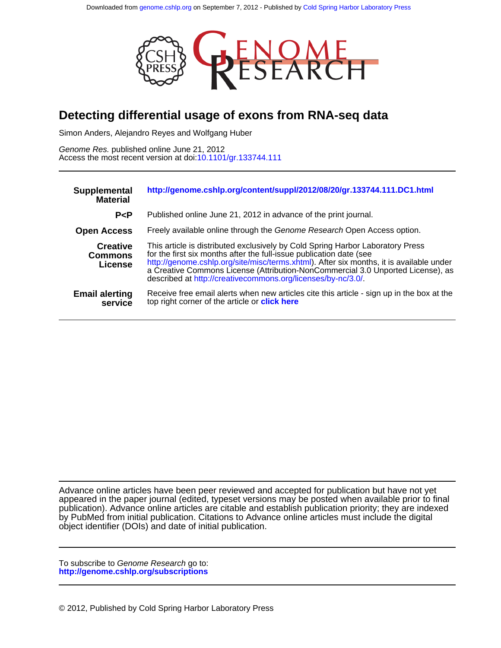

# **Detecting differential usage of exons from RNA-seq data**

Simon Anders, Alejandro Reyes and Wolfgang Huber

Access the most recent version at doi[:10.1101/gr.133744.111](http://genome.cshlp.org/lookup/doi/10.1101/gr.133744.111) Genome Res. published online June 21, 2012

| Supplemental<br><b>Material</b>                     | http://genome.cshlp.org/content/suppl/2012/08/20/gr.133744.111.DC1.html                                                                                                                                                                                                                                                                                                                             |
|-----------------------------------------------------|-----------------------------------------------------------------------------------------------------------------------------------------------------------------------------------------------------------------------------------------------------------------------------------------------------------------------------------------------------------------------------------------------------|
| P < P                                               | Published online June 21, 2012 in advance of the print journal.                                                                                                                                                                                                                                                                                                                                     |
| <b>Open Access</b>                                  | Freely available online through the Genome Research Open Access option.                                                                                                                                                                                                                                                                                                                             |
| <b>Creative</b><br><b>Commons</b><br><b>License</b> | This article is distributed exclusively by Cold Spring Harbor Laboratory Press<br>for the first six months after the full-issue publication date (see<br>http://genome.cshlp.org/site/misc/terms.xhtml). After six months, it is available under<br>a Creative Commons License (Attribution-NonCommercial 3.0 Unported License), as<br>described at http://creativecommons.org/licenses/by-nc/3.0/. |
| <b>Email alerting</b><br>service                    | Receive free email alerts when new articles cite this article - sign up in the box at the<br>top right corner of the article or <b>click here</b>                                                                                                                                                                                                                                                   |

object identifier (DOIs) and date of initial publication. by PubMed from initial publication. Citations to Advance online articles must include the digital publication). Advance online articles are citable and establish publication priority; they are indexed appeared in the paper journal (edited, typeset versions may be posted when available prior to final Advance online articles have been peer reviewed and accepted for publication but have not yet

**<http://genome.cshlp.org/subscriptions>** To subscribe to Genome Research go to: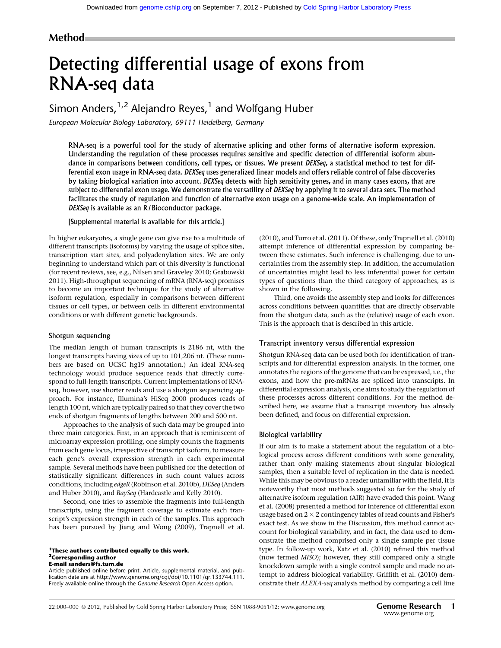# Method

# Detecting differential usage of exons from RNA-seq data

# Simon Anders,  $1/2$  Alejandro Reyes,  $1$  and Wolfgang Huber

European Molecular Biology Laboratory, 69111 Heidelberg, Germany

RNA-seq is a powerful tool for the study of alternative splicing and other forms of alternative isoform expression. Understanding the regulation of these processes requires sensitive and specific detection of differential isoform abundance in comparisons between conditions, cell types, or tissues. We present DEXSeq, a statistical method to test for differential exon usage in RNA-seq data. DEXSeq uses generalized linear models and offers reliable control of false discoveries by taking biological variation into account. DEXSeq detects with high sensitivity genes, and in many cases exons, that are subject to differential exon usage. We demonstrate the versatility of DEXSeq by applying it to several data sets. The method facilitates the study of regulation and function of alternative exon usage on a genome-wide scale. An implementation of DEXSeq is available as an R/Bioconductor package.

## [Supplemental material is available for this article.]

In higher eukaryotes, a single gene can give rise to a multitude of different transcripts (isoforms) by varying the usage of splice sites, transcription start sites, and polyadenylation sites. We are only beginning to understand which part of this diversity is functional (for recent reviews, see, e.g., Nilsen and Graveley 2010; Grabowski 2011). High-throughput sequencing of mRNA (RNA-seq) promises to become an important technique for the study of alternative isoform regulation, especially in comparisons between different tissues or cell types, or between cells in different environmental conditions or with different genetic backgrounds.

# Shotgun sequencing

The median length of human transcripts is 2186 nt, with the longest transcripts having sizes of up to 101,206 nt. (These numbers are based on UCSC hg19 annotation.) An ideal RNA-seq technology would produce sequence reads that directly correspond to full-length transcripts. Current implementations of RNAseq, however, use shorter reads and use a shotgun sequencing approach. For instance, Illumina's HiSeq 2000 produces reads of length 100 nt, which are typically paired so that they cover the two ends of shotgun fragments of lengths between 200 and 500 nt.

Approaches to the analysis of such data may be grouped into three main categories. First, in an approach that is reminiscent of microarray expression profiling, one simply counts the fragments from each gene locus, irrespective of transcript isoform, to measure each gene's overall expression strength in each experimental sample. Several methods have been published for the detection of statistically significant differences in such count values across conditions, including edgeR (Robinson et al. 2010b), DESeq (Anders and Huber 2010), and BaySeq (Hardcastle and Kelly 2010).

Second, one tries to assemble the fragments into full-length transcripts, using the fragment coverage to estimate each transcript's expression strength in each of the samples. This approach has been pursued by Jiang and Wong (2009), Trapnell et al.

Article published online before print. Article, supplemental material, and publication date are at http://www.genome.org/cgi/doi/10.1101/gr.133744.111. Freely available online through the Genome Research Open Access option.

(2010), and Turro et al. (2011). Of these, only Trapnell et al. (2010) attempt inference of differential expression by comparing between these estimates. Such inference is challenging, due to uncertainties from the assembly step. In addition, the accumulation of uncertainties might lead to less inferential power for certain types of questions than the third category of approaches, as is shown in the following.

Third, one avoids the assembly step and looks for differences across conditions between quantities that are directly observable from the shotgun data, such as the (relative) usage of each exon. This is the approach that is described in this article.

# Transcript inventory versus differential expression

Shotgun RNA-seq data can be used both for identification of transcripts and for differential expression analysis. In the former, one annotates the regions of the genome that can be expressed, i.e., the exons, and how the pre-mRNAs are spliced into transcripts. In differential expression analysis, one aims to study the regulation of these processes across different conditions. For the method described here, we assume that a transcript inventory has already been defined, and focus on differential expression.

## Biological variability

If our aim is to make a statement about the regulation of a biological process across different conditions with some generality, rather than only making statements about singular biological samples, then a suitable level of replication in the data is needed. While this may be obvious to a reader unfamiliar with the field, it is noteworthy that most methods suggested so far for the study of alternative isoform regulation (AIR) have evaded this point. Wang et al. (2008) presented a method for inference of differential exon usage based on  $2 \times 2$  contingency tables of read counts and Fisher's exact test. As we show in the Discussion, this method cannot account for biological variability, and in fact, the data used to demonstrate the method comprised only a single sample per tissue type. In follow-up work, Katz et al. (2010) refined this method (now termed MISO); however, they still compared only a single knockdown sample with a single control sample and made no attempt to address biological variability. Griffith et al. (2010) demonstrate their ALEXA-seq analysis method by comparing a cell line

<sup>&</sup>lt;sup>1</sup>These authors contributed equally to this work. <sup>2</sup>Corresponding author E-mail [sanders@fs.tum.de](mailto:sanders@fs.tum.de)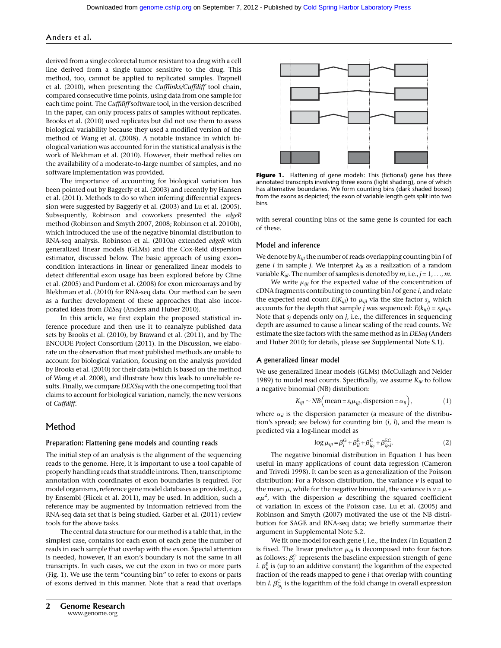derived from a single colorectal tumor resistant to a drug with a cell line derived from a single tumor sensitive to the drug. This method, too, cannot be applied to replicated samples. Trapnell et al. (2010), when presenting the Cufflinks/Cuffdiff tool chain, compared consecutive time points, using data from one sample for each time point. The Cuffdiff software tool, in the version described in the paper, can only process pairs of samples without replicates. Brooks et al. (2010) used replicates but did not use them to assess biological variability because they used a modified version of the method of Wang et al. (2008). A notable instance in which biological variation was accounted for in the statistical analysis is the work of Blekhman et al. (2010). However, their method relies on the availability of a moderate-to-large number of samples, and no software implementation was provided.

The importance of accounting for biological variation has been pointed out by Baggerly et al. (2003) and recently by Hansen et al. (2011). Methods to do so when inferring differential expression were suggested by Baggerly et al. (2003) and Lu et al. (2005). Subsequently, Robinson and coworkers presented the edgeR method (Robinson and Smyth 2007, 2008; Robinson et al. 2010b), which introduced the use of the negative binomial distribution to RNA-seq analysis. Robinson et al. (2010a) extended edgeR with generalized linear models (GLMs) and the Cox-Reid dispersion estimator, discussed below. The basic approach of using exon– condition interactions in linear or generalized linear models to detect differential exon usage has been explored before by Cline et al. (2005) and Purdom et al. (2008) for exon microarrays and by Blekhman et al. (2010) for RNA-seq data. Our method can be seen as a further development of these approaches that also incorporated ideas from DESeq (Anders and Huber 2010).

In this article, we first explain the proposed statistical inference procedure and then use it to reanalyze published data sets by Brooks et al. (2010), by Brawand et al. (2011), and by The ENCODE Project Consortium (2011). In the Discussion, we elaborate on the observation that most published methods are unable to account for biological variation, focusing on the analysis provided by Brooks et al. (2010) for their data (which is based on the method of Wang et al. 2008), and illustrate how this leads to unreliable results. Finally, we compare DEXSeq with the one competing tool that claims to account for biological variation, namely, the new versions of Cuffdiff.

# Method

#### Preparation: Flattening gene models and counting reads

The initial step of an analysis is the alignment of the sequencing reads to the genome. Here, it is important to use a tool capable of properly handling reads that straddle introns. Then, transcriptome annotation with coordinates of exon boundaries is required. For model organisms, reference gene model databases as provided, e.g., by Ensembl (Flicek et al. 2011), may be used. In addition, such a reference may be augmented by information retrieved from the RNA-seq data set that is being studied. Garber et al. (2011) review tools for the above tasks.

The central data structure for our method is a table that, in the simplest case, contains for each exon of each gene the number of reads in each sample that overlap with the exon. Special attention is needed, however, if an exon's boundary is not the same in all transcripts. In such cases, we cut the exon in two or more parts (Fig. 1). We use the term ''counting bin'' to refer to exons or parts of exons derived in this manner. Note that a read that overlaps



Figure 1. Flattening of gene models: This (fictional) gene has three annotated transcripts involving three exons (light shading), one of which has alternative boundaries. We form counting bins (dark shaded boxes) from the exons as depicted; the exon of variable length gets split into two bins.

with several counting bins of the same gene is counted for each of these.

#### Model and inference

We denote by  $k_{iil}$  the number of reads overlapping counting bin  $l$  of gene *i* in sample *j*. We interpret  $k_{ijl}$  as a realization of a random variable  $K_{ijl}$ . The number of samples is denoted by  $m$ , i.e.,  $j = 1, ..., m$ .

We write  $\mu_{ijl}$  for the expected value of the concentration of cDNA fragments contributing to counting bin l of gene i, and relate the expected read count  $E(K_{iij})$  to  $\mu_{iij}$  via the size factor  $s_i$ , which accounts for the depth that sample *j* was sequenced:  $E(k_{ijl}) = s_{jl} \mu_{ijl}$ . Note that  $s_i$  depends only on *j*, i.e., the differences in sequencing depth are assumed to cause a linear scaling of the read counts. We estimate the size factors with the same method as in *DESeq* (Anders and Huber 2010; for details, please see Supplemental Note S.1).

#### A generalized linear model

We use generalized linear models (GLMs) (McCullagh and Nelder 1989) to model read counts. Specifically, we assume  $K_{iil}$  to follow a negative binomial (NB) distribution:

$$
K_{ijl} \sim NB\Big(\text{mean} = s_j \mu_{ijl}, \text{dispersion} = \alpha_{il}\Big),\tag{1}
$$

where  $\alpha_{il}$  is the dispersion parameter (a measure of the distribution's spread; see below) for counting bin  $(i, l)$ , and the mean is predicted via a log-linear model as

$$
\log \mu_{ijl} = \beta_i^{\text{G}} + \beta_{il}^{\text{E}} + \beta_{i\rho_j}^{\text{C}} + \beta_{i\rho_j l}^{\text{EC}}.
$$
 (2)

The negative binomial distribution in Equation 1 has been useful in many applications of count data regression (Cameron and Trivedi 1998). It can be seen as a generalization of the Poisson distribution: For a Poisson distribution, the variance  $\nu$  is equal to the mean  $\mu$ , while for the negative binomial, the variance is  $v = \mu +$  $\alpha \mu^2$ , with the dispersion  $\alpha$  describing the squared coefficient of variation in excess of the Poisson case. Lu et al. (2005) and Robinson and Smyth (2007) motivated the use of the NB distribution for SAGE and RNA-seq data; we briefly summarize their argument in Supplemental Note S.2.

We fit one model for each gene  $i$ , i.e., the index  $i$  in Equation 2 is fixed. The linear predictor  $\mu_{ijl}$  is decomposed into four factors as follows:  $\beta_i^G$  represents the baseline expression strength of gene *i*.  $\beta_{il}^{\rm E}$  is (up to an additive constant) the logarithm of the expected fraction of the reads mapped to gene  $i$  that overlap with counting bin *l.*  $\beta_{i\rho_j}^{\rm C}$  is the logarithm of the fold change in overall expression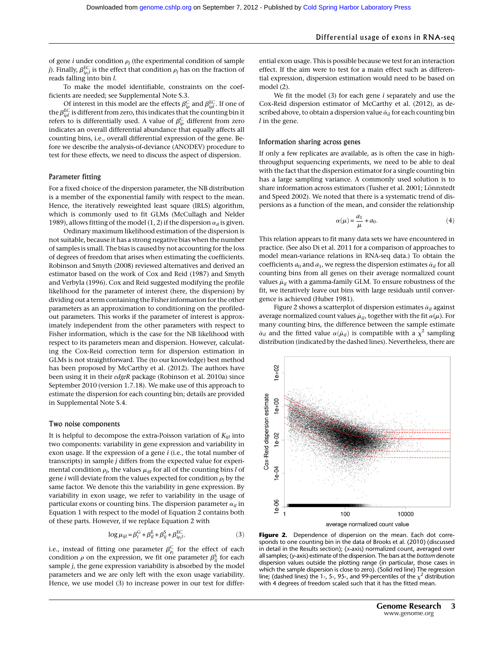of gene *i* under condition  $\rho_i$  (the experimental condition of sample *j*). Finally,  $\beta^{\text{EC}}_{i \rho_j l}$  is the effect that condition  $\rho_j$  has on the fraction of reads falling into bin l.

To make the model identifiable, constraints on the coefficients are needed; see Supplemental Note S.3.

Of interest in this model are the effects  $\beta_{i\rho}^{\text{C}}$  and  $\beta_{i\rho l}^{\text{EC}}$ . If one of the  $\beta_{i\rho l}^{\text{EC}}$  is different from zero, this indicates that the counting bin it refers to is differentially used. A value of  $\beta_{i\rho}^{\rm C}$  different from zero indicates an overall differential abundance that equally affects all counting bins, i.e., overall differential expression of the gene. Before we describe the analysis-of-deviance (ANODEV) procedure to test for these effects, we need to discuss the aspect of dispersion.

#### Parameter fitting

For a fixed choice of the dispersion parameter, the NB distribution is a member of the exponential family with respect to the mean. Hence, the iteratively reweighted least square (IRLS) algorithm, which is commonly used to fit GLMs (McCullagh and Nelder 1989), allows fitting of the model (1, 2) if the dispersion  $\alpha_{il}$  is given.

Ordinary maximum likelihood estimation of the dispersion is not suitable, because it has a strong negative bias when the number of samples is small. The bias is caused by not accounting for the loss of degrees of freedom that arises when estimating the coefficients. Robinson and Smyth (2008) reviewed alternatives and derived an estimator based on the work of Cox and Reid (1987) and Smyth and Verbyla (1996). Cox and Reid suggested modifying the profile likelihood for the parameter of interest (here, the dispersion) by dividing out a term containing the Fisher information for the other parameters as an approximation to conditioning on the profiledout parameters. This works if the parameter of interest is approximately independent from the other parameters with respect to Fisher information, which is the case for the NB likelihood with respect to its parameters mean and dispersion. However, calculating the Cox-Reid correction term for dispersion estimation in GLMs is not straightforward. The (to our knowledge) best method has been proposed by McCarthy et al. (2012). The authors have been using it in their edgeR package (Robinson et al. 2010a) since September 2010 (version 1.7.18). We make use of this approach to estimate the dispersion for each counting bin; details are provided in Supplemental Note S.4.

# Two noise components

It is helpful to decompose the extra-Poisson variation of  $K_{ijl}$  into two components: variability in gene expression and variability in exon usage. If the expression of a gene *i* (i.e., the total number of transcripts) in sample j differs from the expected value for experimental condition  $\rho_j$ , the values  $\mu_{ijl}$  for all of the counting bins *l* of gene *i* will deviate from the values expected for condition  $\rho_i$  by the same factor. We denote this the variability in gene expression. By variability in exon usage, we refer to variability in the usage of particular exons or counting bins. The dispersion parameter  $\alpha_{il}$  in Equation 1 with respect to the model of Equation 2 contains both of these parts. However, if we replace Equation 2 with

$$
\log \mu_{ijl} = \beta_i^{\text{G}} + \beta_{il}^{\text{E}} + \beta_{ij}^{\text{S}} + \beta_{i\rho_j l}^{\text{EC}},
$$
 (3)

i.e., instead of fitting one parameter  $\beta_{\rho_j}^C$  for the effect of each condition  $\rho$  on the expression, we fit one parameter  $\beta_{ij}^S$  for each sample *j*, the gene expression variability is absorbed by the model parameters and we are only left with the exon usage variability. Hence, we use model (3) to increase power in our test for differential exon usage. This is possible because we test for an interaction effect. If the aim were to test for a main effect such as differential expression, dispersion estimation would need to be based on model (2).

We fit the model  $(3)$  for each gene *i* separately and use the Cox-Reid dispersion estimator of McCarthy et al. (2012), as described above, to obtain a dispersion value  $\hat{\alpha}_{il}$  for each counting bin l in the gene.

#### Information sharing across genes

If only a few replicates are available, as is often the case in highthroughput sequencing experiments, we need to be able to deal with the fact that the dispersion estimator for a single counting bin has a large sampling variance. A commonly used solution is to share information across estimators (Tusher et al. 2001; Lönnstedt and Speed 2002). We noted that there is a systematic trend of dispersions as a function of the mean, and consider the relationship

$$
\alpha(\mu) = \frac{a_1}{\mu} + a_0. \tag{4}
$$

This relation appears to fit many data sets we have encountered in practice. (See also Di et al. 2011 for a comparison of approaches to model mean-variance relations in RNA-seq data.) To obtain the coefficients  $a_0$  and  $a_1$ , we regress the dispersion estimates  $\hat{\alpha}_{il}$  for all counting bins from all genes on their average normalized count values  $\hat{\mu}_{il}$  with a gamma-family GLM. To ensure robustness of the fit, we iteratively leave out bins with large residuals until convergence is achieved (Huber 1981).

Figure 2 shows a scatterplot of dispersion estimates  $\hat{\alpha}_{il}$  against average normalized count values  $\hat{\mu}_{il}$ , together with the fit  $\alpha(\mu)$ . For many counting bins, the difference between the sample estimate  $\hat{\alpha}_{il}$  and the fitted value  $\alpha(\hat{\mu}_{il})$  is compatible with a  $\chi^2$  sampling distribution (indicated by the dashed lines). Nevertheless, there are



Figure 2. Dependence of dispersion on the mean. Each dot corresponds to one counting bin in the data of Brooks et al. (2010) (discussed in detail in the Results section); (x-axis) normalized count, averaged over all samples; (y-axis) estimate of the dispersion. The bars at the bottom denote dispersion values outside the plotting range (in particular, those cases in which the sample dispersion is close to zero). (Solid red line) The regression line; (dashed lines) the 1-, 5-, 95-, and 99-percentiles of the  $\chi^2$  distribution with 4 degrees of freedom scaled such that it has the fitted mean.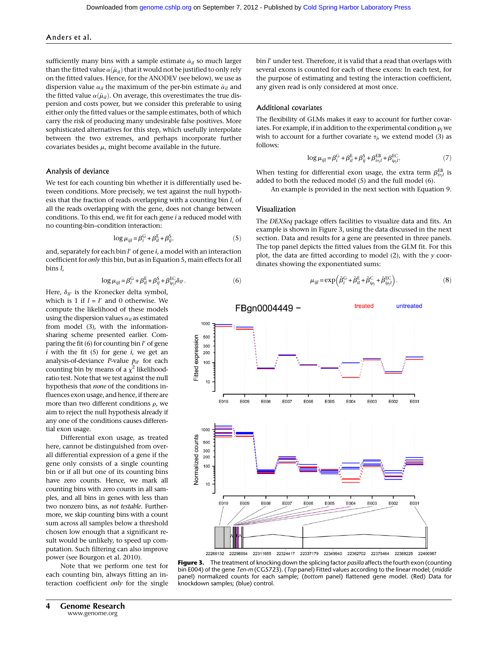sufficiently many bins with a sample estimate  $\hat{\alpha}_{il}$  so much larger than the fitted value  $\alpha(\hat{\mu}_{il})$  that it would not be justified to only rely on the fitted values. Hence, for the ANODEV (see below), we use as dispersion value  $\alpha_{il}$  the maximum of the per-bin estimate  $\hat{\alpha}_{il}$  and the fitted value  $\alpha(\hat{\mu}_{ij})$ . On average, this overestimates the true dispersion and costs power, but we consider this preferable to using either only the fitted values or the sample estimates, both of which carry the risk of producing many undesirable false positives. More sophisticated alternatives for this step, which usefully interpolate between the two extremes, and perhaps incorporate further covariates besides  $\mu$ , might become available in the future.

# Analysis of deviance

We test for each counting bin whether it is differentially used between conditions. More precisely, we test against the null hypothesis that the fraction of reads overlapping with a counting bin l, of all the reads overlapping with the gene, does not change between conditions. To this end, we fit for each gene i a reduced model with no counting-bin–condition interaction:

$$
\log \mu_{ijl} = \beta_i^G + \beta_{il}^E + \beta_{ij}^S,\tag{5}
$$

and, separately for each bin  $l'$  of gene  $i$ , a model with an interaction coefficient for only this bin, but as in Equation 5, main effects for all bins l,

$$
\log \mu_{ijl} = \beta_i^{\rm G} + \beta_{il}^{\rm E} + \beta_{ij}^{\rm S} + \beta_{i\rho_j l}^{\rm EC} \delta_{ll'}.
$$
 (6)

Here,  $\delta_{ll'}$  is the Kronecker delta symbol, which is 1 if  $l = l'$  and 0 otherwise. We compute the likelihood of these models using the dispersion values  $\alpha_{il}$  as estimated from model (3), with the informationsharing scheme presented earlier. Comparing the fit  $(6)$  for counting bin  $l'$  of gene  $i$  with the fit (5) for gene  $i$ , we get an analysis-of-deviance *P*-value  $p_{il'}$  for each counting bin by means of a  $\chi^2$  likelihoodratio test. Note that we test against the null hypothesis that none of the conditions influences exon usage, and hence, if there are more than two different conditions  $\rho$ , we aim to reject the null hypothesis already if any one of the conditions causes differential exon usage.

Differential exon usage, as treated here, cannot be distinguished from overall differential expression of a gene if the gene only consists of a single counting bin or if all but one of its counting bins have zero counts. Hence, we mark all counting bins with zero counts in all samples, and all bins in genes with less than two nonzero bins, as not testable. Furthermore, we skip counting bins with a count sum across all samples below a threshold chosen low enough that a significant result would be unlikely, to speed up computation. Such filtering can also improve power (see Bourgon et al. 2010).

Note that we perform one test for each counting bin, always fitting an interaction coefficient only for the single bin *l'* under test. Therefore, it is valid that a read that overlaps with several exons is counted for each of these exons: In each test, for the purpose of estimating and testing the interaction coefficient, any given read is only considered at most once.

# Additional covariates

The flexibility of GLMs makes it easy to account for further covariates. For example, if in addition to the experimental condition  $\rho_i$  we wish to account for a further covariate  $\tau_{j}$ , we extend model (3) as follows:

$$
\log \mu_{ijl} = \beta_i^{\text{G}} + \beta_{il}^{\text{E}} + \beta_{ij}^{\text{S}} + \beta_{i\tau_{jl}}^{\text{EB}} + \beta_{i\rho_{jl}}^{\text{EC}},\tag{7}
$$

When testing for differential exon usage, the extra term  $\beta^{\text{EB}}_{i\tau_{jl}}$  is added to both the reduced model (5) and the full model (6).

An example is provided in the next section with Equation 9.

#### Visualization

The DEXSeq package offers facilities to visualize data and fits. An example is shown in Figure 3, using the data discussed in the next section. Data and results for a gene are presented in three panels. The top panel depicts the fitted values from the GLM fit. For this plot, the data are fitted according to model  $(2)$ , with the  $\gamma$  coordinates showing the exponentiated sums:

$$
\mu_{ijl} = \exp\left(\tilde{\beta}_i^{\text{G}} + \tilde{\beta}_{il}^{\text{E}} + \tilde{\beta}_{i\rho_j}^{\text{C}} + \tilde{\beta}_{i\rho_l}^{\text{EC}}\right).
$$
 (8)



Figure 3. The treatment of knocking down the splicing factor pasilla affects the fourth exon (counting bin E004) of the gene Ten-m (CG5723). (Top panel) Fitted values according to the linear model; (middle panel) normalized counts for each sample; (bottom panel) flattened gene model. (Red) Data for knockdown samples; (blue) control.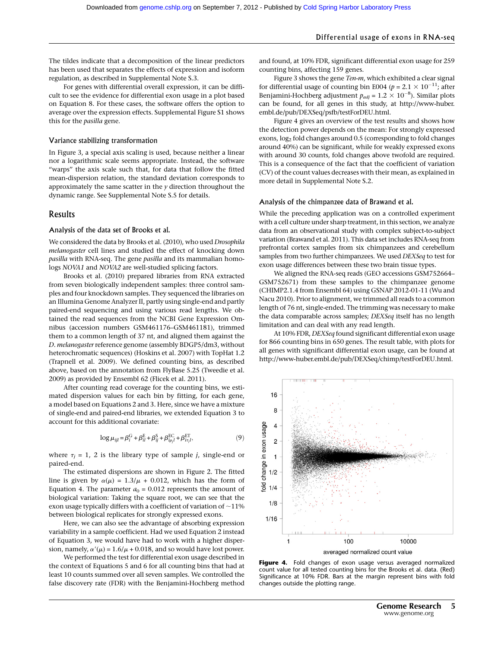The tildes indicate that a decomposition of the linear predictors has been used that separates the effects of expression and isoform regulation, as described in Supplemental Note S.3.

For genes with differential overall expression, it can be difficult to see the evidence for differential exon usage in a plot based on Equation 8. For these cases, the software offers the option to average over the expression effects. Supplemental Figure S1 shows this for the pasilla gene.

# Variance stabilizing transformation

In Figure 3, a special axis scaling is used, because neither a linear nor a logarithmic scale seems appropriate. Instead, the software "warps" the axis scale such that, for data that follow the fitted mean-dispersion relation, the standard deviation corresponds to approximately the same scatter in the  $y$  direction throughout the dynamic range. See Supplemental Note S.5 for details.

# Results

#### Analysis of the data set of Brooks et al.

We considered the data by Brooks et al. (2010), who used Drosophila melanogaster cell lines and studied the effect of knocking down pasilla with RNA-seq. The gene pasilla and its mammalian homologs NOVA1 and NOVA2 are well-studied splicing factors.

Brooks et al. (2010) prepared libraries from RNA extracted from seven biologically independent samples: three control samples and four knockdown samples. They sequenced the libraries on an Illumina Genome Analyzer II, partly using single-end and partly paired-end sequencing and using various read lengths. We obtained the read sequences from the NCBI Gene Expression Omnibus (accession numbers GSM461176–GSM461181), trimmed them to a common length of 37 nt, and aligned them against the D. melanogaster reference genome (assembly BDGP5/dm3, without heterochromatic sequences) (Hoskins et al. 2007) with TopHat 1.2 (Trapnell et al. 2009). We defined counting bins, as described above, based on the annotation from FlyBase 5.25 (Tweedie et al. 2009) as provided by Ensembl 62 (Flicek et al. 2011).

After counting read coverage for the counting bins, we estimated dispersion values for each bin by fitting, for each gene, a model based on Equations 2 and 3. Here, since we have a mixture of single-end and paired-end libraries, we extended Equation 3 to account for this additional covariate:

$$
\log \mu_{ijl} = \beta_i^{\text{G}} + \beta_{il}^{\text{E}} + \beta_{ij}^{\text{S}} + \beta_{i\rho_{j}l}^{\text{EC}} + \beta_{i\tau_{j}l}^{\text{ET}},\tag{9}
$$

where  $\tau_j = 1$ , 2 is the library type of sample j, single-end or paired-end.

The estimated dispersions are shown in Figure 2. The fitted line is given by  $\alpha(\mu) = 1.3/\mu + 0.012$ , which has the form of Equation 4. The parameter  $a_0 = 0.012$  represents the amount of biological variation: Taking the square root, we can see that the exon usage typically differs with a coefficient of variation of  $\sim$ 11% between biological replicates for strongly expressed exons.

Here, we can also see the advantage of absorbing expression variability in a sample coefficient. Had we used Equation 2 instead of Equation 3, we would have had to work with a higher dispersion, namely,  $\alpha'(\mu) = 1.6/\mu + 0.018$ , and so would have lost power.

We performed the test for differential exon usage described in the context of Equations 5 and 6 for all counting bins that had at least 10 counts summed over all seven samples. We controlled the false discovery rate (FDR) with the Benjamini-Hochberg method and found, at 10% FDR, significant differential exon usage for 259 counting bins, affecting 159 genes.

Figure 3 shows the gene Ten-m, which exhibited a clear signal for differential usage of counting bin E004 ( $p = 2.1 \times 10^{-11}$ ; after Benjamini-Hochberg adjustment  $p_{\textit{adj}} = 1.2 \times 10^{-8}$ ). Similar plots can be found, for all genes in this study, at [http://www-huber.](http://www-huber.embl.de/pub/DEXSeq/psfb/testForDEU.html) [embl.de/pub/DEXSeq/psfb/testForDEU.html.](http://www-huber.embl.de/pub/DEXSeq/psfb/testForDEU.html)

Figure 4 gives an overview of the test results and shows how the detection power depends on the mean: For strongly expressed exons,  $log<sub>2</sub>$  fold changes around 0.5 (corresponding to fold changes around 40%) can be significant, while for weakly expressed exons with around 30 counts, fold changes above twofold are required. This is a consequence of the fact that the coefficient of variation (CV) of the count values decreases with their mean, as explained in more detail in Supplemental Note S.2.

# Analysis of the chimpanzee data of Brawand et al.

While the preceding application was on a controlled experiment with a cell culture under sharp treatment, in this section, we analyze data from an observational study with complex subject-to-subject variation (Brawand et al. 2011). This data set includes RNA-seq from prefrontal cortex samples from six chimpanzees and cerebellum samples from two further chimpanzees. We used DEXSeq to test for exon usage differences between these two brain tissue types.

We aligned the RNA-seq reads (GEO accessions GSM752664– GSM752671) from these samples to the chimpanzee genome (CHIMP2.1.4 from Ensembl 64) using GSNAP 2012-01-11 (Wu and Nacu 2010). Prior to alignment, we trimmed all reads to a common length of 76 nt, single-ended. The trimming was necessary to make the data comparable across samples; DEXSeq itself has no length limitation and can deal with any read length.

At 10% FDR, DEXSeq found significant differential exon usage for 866 counting bins in 650 genes. The result table, with plots for all genes with significant differential exon usage, can be found at [http://www-huber.embl.de/pub/DEXSeq/chimp/testForDEU.html.](http://www-huber.embl.de/pub/DEXSeq/chimp/testForDEU.html)



Figure 4. Fold changes of exon usage versus averaged normalized count value for all tested counting bins for the Brooks et al. data. (Red) Significance at 10% FDR. Bars at the margin represent bins with fold changes outside the plotting range.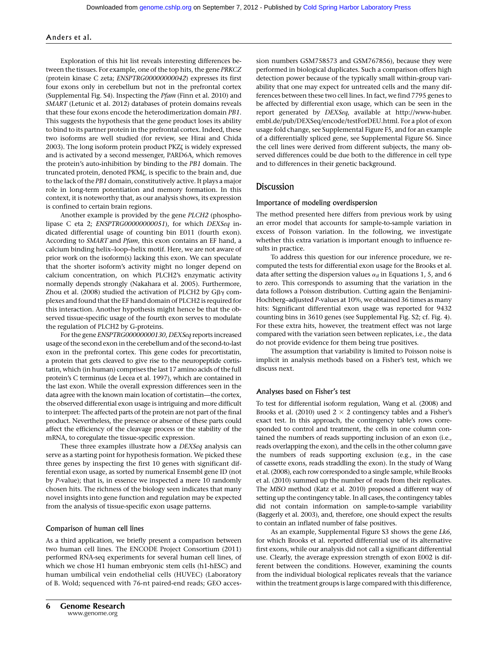Exploration of this hit list reveals interesting differences between the tissues. For example, one of the top hits, the gene PRKCZ (protein kinase C zeta; ENSPTRG00000000042) expresses its first four exons only in cerebellum but not in the prefrontal cortex (Supplemental Fig. S4). Inspecting the Pfam (Finn et al. 2010) and SMART (Letunic et al. 2012) databases of protein domains reveals that these four exons encode the heterodimerization domain PB1. This suggests the hypothesis that the gene product loses its ability to bind to its partner protein in the prefrontal cortex. Indeed, these two isoforms are well studied (for review, see Hirai and Chida 2003). The long isoform protein product PKZz is widely expressed and is activated by a second messenger, PARD6A, which removes the protein's auto-inhibition by binding to the PB1 domain. The truncated protein, denoted PKMz, is specific to the brain and, due to the lack of the PB1 domain, constitutively active. It plays a major role in long-term potentiation and memory formation. In this context, it is noteworthy that, as our analysis shows, its expression is confined to certain brain regions.

Another example is provided by the gene PLCH2 (phospholipase C eta 2; ENSPTRG00000000051), for which DEXSeq indicated differential usage of counting bin E011 (fourth exon). According to SMART and Pfam, this exon contains an EF hand, a calcium binding helix–loop–helix motif. Here, we are not aware of prior work on the isoform(s) lacking this exon. We can speculate that the shorter isoform's activity might no longer depend on calcium concentration, on which PLCH2's enzymatic activity normally depends strongly (Nakahara et al. 2005). Furthermore, Zhou et al. (2008) studied the activation of PLCH2 by  $G\beta\gamma$  complexes and found that the EF hand domain of PLCH2 is required for this interaction. Another hypothesis might hence be that the observed tissue-specific usage of the fourth exon serves to modulate the regulation of PLCH2 by G-proteins.

For the gene ENSPTRG00000000130, DEXSeq reports increased usage of the second exon in the cerebellum and of the second-to-last exon in the prefrontal cortex. This gene codes for precortistatin, a protein that gets cleaved to give rise to the neuropeptide cortistatin, which (in human) comprises the last 17 amino acids of the full protein's C terminus (de Lecea et al. 1997), which are contained in the last exon. While the overall expression differences seen in the data agree with the known main location of cortistatin—the cortex, the observed differential exon usage is intriguing and more difficult to interpret: The affected parts of the protein are not part of the final product. Nevertheless, the presence or absence of these parts could affect the efficiency of the cleavage process or the stability of the mRNA, to coregulate the tissue-specific expression.

These three examples illustrate how a DEXSeq analysis can serve as a starting point for hypothesis formation. We picked these three genes by inspecting the first 10 genes with significant differential exon usage, as sorted by numerical Ensembl gene ID (not by P-value); that is, in essence we inspected a mere 10 randomly chosen hits. The richness of the biology seen indicates that many novel insights into gene function and regulation may be expected from the analysis of tissue-specific exon usage patterns.

## Comparison of human cell lines

As a third application, we briefly present a comparison between two human cell lines. The ENCODE Project Consortium (2011) performed RNA-seq experiments for several human cell lines, of which we chose H1 human embryonic stem cells (h1-hESC) and human umbilical vein endothelial cells (HUVEC) (Laboratory of B. Wold; sequenced with 76-nt paired-end reads; GEO accession numbers GSM758573 and GSM767856), because they were performed in biological duplicates. Such a comparison offers high detection power because of the typically small within-group variability that one may expect for untreated cells and the many differences between these two cell lines. In fact, we find 7795 genes to be affected by differential exon usage, which can be seen in the report generated by DEXSeq, available at [http://www-huber.](http://www-huber.embl.de/pub/DEXSeq/encode/testForDEU.html) [embl.de/pub/DEXSeq/encode/testForDEU.html](http://www-huber.embl.de/pub/DEXSeq/encode/testForDEU.html). For a plot of exon usage fold change, see Supplemental Figure F5, and for an example of a differentially spliced gene, see Supplemental Figure S6. Since the cell lines were derived from different subjects, the many observed differences could be due both to the difference in cell type and to differences in their genetic background.

# Discussion

# Importance of modeling overdispersion

The method presented here differs from previous work by using an error model that accounts for sample-to-sample variation in excess of Poisson variation. In the following, we investigate whether this extra variation is important enough to influence results in practice.

To address this question for our inference procedure, we recomputed the tests for differential exon usage for the Brooks et al. data after setting the dispersion values  $\alpha_{il}$  in Equations 1, 5, and 6 to zero. This corresponds to assuming that the variation in the data follows a Poisson distribution. Cutting again the Benjamini-Hochberg–adjusted P-values at 10%, we obtained 36 times as many hits: Significant differential exon usage was reported for 9432 counting bins in 3610 genes (see Supplemental Fig. S2; cf. Fig. 4). For these extra hits, however, the treatment effect was not large compared with the variation seen between replicates, i.e., the data do not provide evidence for them being true positives.

The assumption that variability is limited to Poisson noise is implicit in analysis methods based on a Fisher's test, which we discuss next.

#### Analyses based on Fisher's test

To test for differential isoform regulation, Wang et al. (2008) and Brooks et al. (2010) used  $2 \times 2$  contingency tables and a Fisher's exact test. In this approach, the contingency table's rows corresponded to control and treatment, the cells in one column contained the numbers of reads supporting inclusion of an exon (i.e., reads overlapping the exon), and the cells in the other column gave the numbers of reads supporting exclusion (e.g., in the case of cassette exons, reads straddling the exon). In the study of Wang et al. (2008), each row corresponded to a single sample, while Brooks et al. (2010) summed up the number of reads from their replicates. The MISO method (Katz et al. 2010) proposed a different way of setting up the contingency table. In all cases, the contingency tables did not contain information on sample-to-sample variability (Baggerly et al. 2003), and, therefore, one should expect the results to contain an inflated number of false positives.

As an example, Supplemental Figure S3 shows the gene Lk6, for which Brooks et al. reported differential use of its alternative first exons, while our analysis did not call a significant differential use. Clearly, the average expression strength of exon E002 is different between the conditions. However, examining the counts from the individual biological replicates reveals that the variance within the treatment groups is large compared with this difference,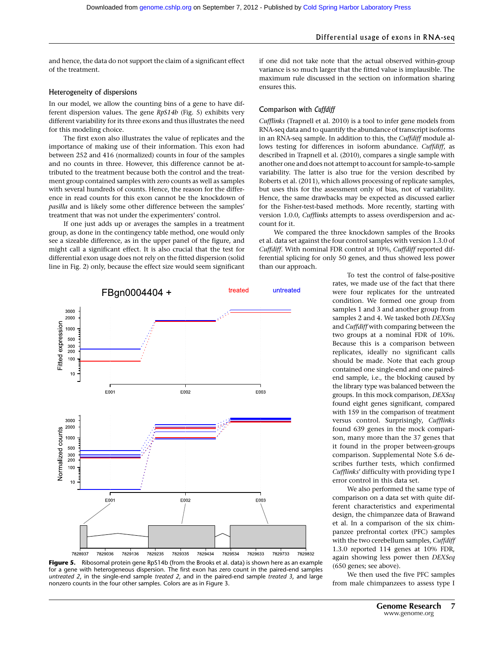and hence, the data do not support the claim of a significant effect of the treatment.

# Heterogeneity of dispersions

In our model, we allow the counting bins of a gene to have different dispersion values. The gene RpS14b (Fig. 5) exhibits very different variability for its three exons and thus illustrates the need for this modeling choice.

The first exon also illustrates the value of replicates and the importance of making use of their information. This exon had between 252 and 416 (normalized) counts in four of the samples and no counts in three. However, this difference cannot be attributed to the treatment because both the control and the treatment group contained samples with zero counts as well as samples with several hundreds of counts. Hence, the reason for the difference in read counts for this exon cannot be the knockdown of pasilla and is likely some other difference between the samples' treatment that was not under the experimenters' control.

If one just adds up or averages the samples in a treatment group, as done in the contingency table method, one would only see a sizeable difference, as in the upper panel of the figure, and might call a significant effect. It is also crucial that the test for differential exon usage does not rely on the fitted dispersion (solid line in Fig. 2) only, because the effect size would seem significant





if one did not take note that the actual observed within-group variance is so much larger that the fitted value is implausible. The maximum rule discussed in the section on information sharing ensures this.

# Comparison with Cuffdiff

Cufflinks (Trapnell et al. 2010) is a tool to infer gene models from RNA-seq data and to quantify the abundance of transcript isoforms in an RNA-seq sample. In addition to this, the Cuffdiff module allows testing for differences in isoform abundance. Cuffdiff, as described in Trapnell et al. (2010), compares a single sample with another one and does not attempt to account for sample-to-sample variability. The latter is also true for the version described by Roberts et al. (2011), which allows processing of replicate samples, but uses this for the assessment only of bias, not of variability. Hence, the same drawbacks may be expected as discussed earlier for the Fisher-test-based methods. More recently, starting with version 1.0.0, Cufflinks attempts to assess overdispersion and account for it.

We compared the three knockdown samples of the Brooks et al. data set against the four control samples with version 1.3.0 of Cuffdiff. With nominal FDR control at 10%, Cuffdiff reported differential splicing for only 50 genes, and thus showed less power than our approach.

> To test the control of false-positive rates, we made use of the fact that there were four replicates for the untreated condition. We formed one group from samples 1 and 3 and another group from samples 2 and 4. We tasked both DEXSeq and Cuffdiff with comparing between the two groups at a nominal FDR of 10%. Because this is a comparison between replicates, ideally no significant calls should be made. Note that each group contained one single-end and one pairedend sample, i.e., the blocking caused by the library type was balanced between the groups. In this mock comparison, DEXSeq found eight genes significant, compared with 159 in the comparison of treatment versus control. Surprisingly, Cufflinks found 639 genes in the mock comparison, many more than the 37 genes that it found in the proper between-groups comparison. Supplemental Note S.6 describes further tests, which confirmed Cufflinks' difficulty with providing type I error control in this data set.

> We also performed the same type of comparison on a data set with quite different characteristics and experimental design, the chimpanzee data of Brawand et al. In a comparison of the six chimpanzee prefrontal cortex (PFC) samples with the two cerebellum samples, Cuffdiff 1.3.0 reported 114 genes at 10% FDR, again showing less power then DEXSeq (650 genes; see above).

> We then used the five PFC samples from male chimpanzees to assess type I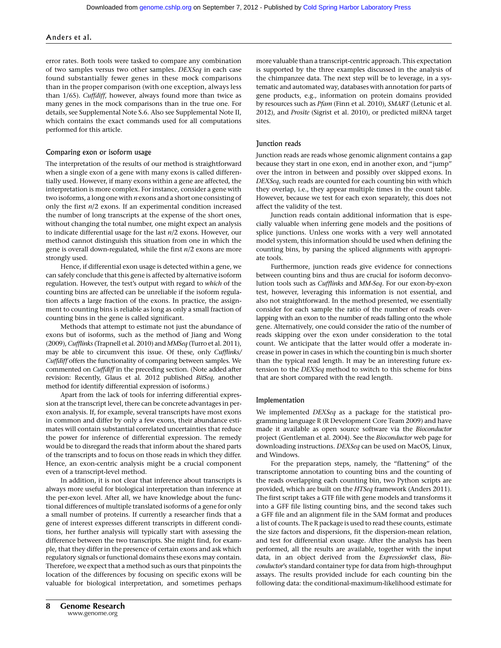error rates. Both tools were tasked to compare any combination of two samples versus two other samples. DEXSeq in each case found substantially fewer genes in these mock comparisons than in the proper comparison (with one exception, always less than 1/65). Cuffdiff, however, always found more than twice as many genes in the mock comparisons than in the true one. For details, see Supplemental Note S.6. Also see Supplemental Note II, which contains the exact commands used for all computations performed for this article.

# Comparing exon or isoform usage

The interpretation of the results of our method is straightforward when a single exon of a gene with many exons is called differentially used. However, if many exons within a gene are affected, the interpretation is more complex. For instance, consider a gene with two isoforms, a long one with  $n$  exons and a short one consisting of only the first  $n/2$  exons. If an experimental condition increased the number of long transcripts at the expense of the short ones, without changing the total number, one might expect an analysis to indicate differential usage for the last  $n/2$  exons. However, our method cannot distinguish this situation from one in which the gene is overall down-regulated, while the first n/2 exons are more strongly used.

Hence, if differential exon usage is detected within a gene, we can safely conclude that this gene is affected by alternative isoform regulation. However, the test's output with regard to which of the counting bins are affected can be unreliable if the isoform regulation affects a large fraction of the exons. In practice, the assignment to counting bins is reliable as long as only a small fraction of counting bins in the gene is called significant.

Methods that attempt to estimate not just the abundance of exons but of isoforms, such as the method of Jiang and Wong (2009), Cufflinks (Trapnell et al. 2010) and MMSeq (Turro et al. 2011), may be able to circumvent this issue. Of these, only Cufflinks/ Cuffdiff offers the functionality of comparing between samples. We commented on Cuffdiff in the preceding section. (Note added after revision: Recently, Glaus et al. 2012 published BitSeq, another method for identify differential expression of isoforms.)

Apart from the lack of tools for inferring differential expression at the transcript level, there can be concrete advantages in perexon analysis. If, for example, several transcripts have most exons in common and differ by only a few exons, their abundance estimates will contain substantial correlated uncertainties that reduce the power for inference of differential expression. The remedy would be to disregard the reads that inform about the shared parts of the transcripts and to focus on those reads in which they differ. Hence, an exon-centric analysis might be a crucial component even of a transcript-level method.

In addition, it is not clear that inference about transcripts is always more useful for biological interpretation than inference at the per-exon level. After all, we have knowledge about the functional differences of multiple translated isoforms of a gene for only a small number of proteins. If currently a researcher finds that a gene of interest expresses different transcripts in different conditions, her further analysis will typically start with assessing the difference between the two transcripts. She might find, for example, that they differ in the presence of certain exons and ask which regulatory signals or functional domains these exons may contain. Therefore, we expect that a method such as ours that pinpoints the location of the differences by focusing on specific exons will be valuable for biological interpretation, and sometimes perhaps more valuable than a transcript-centric approach. This expectation is supported by the three examples discussed in the analysis of the chimpanzee data. The next step will be to leverage, in a systematic and automated way, databases with annotation for parts of gene products, e.g., information on protein domains provided by resources such as Pfam (Finn et al. 2010), SMART (Letunic et al. 2012), and Prosite (Sigrist et al. 2010), or predicted miRNA target sites.

# Junction reads

Junction reads are reads whose genomic alignment contains a gap because they start in one exon, end in another exon, and ''jump'' over the intron in between and possibly over skipped exons. In DEXSeq, such reads are counted for each counting bin with which they overlap, i.e., they appear multiple times in the count table. However, because we test for each exon separately, this does not affect the validity of the test.

Junction reads contain additional information that is especially valuable when inferring gene models and the positions of splice junctions. Unless one works with a very well annotated model system, this information should be used when defining the counting bins, by parsing the spliced alignments with appropriate tools.

Furthermore, junction reads give evidence for connections between counting bins and thus are crucial for isoform deconvolution tools such as Cufflinks and MM-Seq. For our exon-by-exon test, however, leveraging this information is not essential, and also not straightforward. In the method presented, we essentially consider for each sample the ratio of the number of reads overlapping with an exon to the number of reads falling onto the whole gene. Alternatively, one could consider the ratio of the number of reads skipping over the exon under consideration to the total count. We anticipate that the latter would offer a moderate increase in power in cases in which the counting bin is much shorter than the typical read length. It may be an interesting future extension to the DEXSeq method to switch to this scheme for bins that are short compared with the read length.

#### Implementation

We implemented *DEXSeq* as a package for the statistical programming language R (R Development Core Team 2009) and have made it available as open source software via the Bioconductor project (Gentleman et al. 2004). See the Bioconductor web page for downloading instructions. DEXSeq can be used on MacOS, Linux, and Windows.

For the preparation steps, namely, the ''flattening'' of the transcriptome annotation to counting bins and the counting of the reads overlapping each counting bin, two Python scripts are provided, which are built on the HTSeq framework (Anders 2011). The first script takes a GTF file with gene models and transforms it into a GFF file listing counting bins, and the second takes such a GFF file and an alignment file in the SAM format and produces a list of counts. The R package is used to read these counts, estimate the size factors and dispersions, fit the dispersion-mean relation, and test for differential exon usage. After the analysis has been performed, all the results are available, together with the input data, in an object derived from the ExpressionSet class, Bioconductor's standard container type for data from high-throughput assays. The results provided include for each counting bin the following data: the conditional-maximum-likelihood estimate for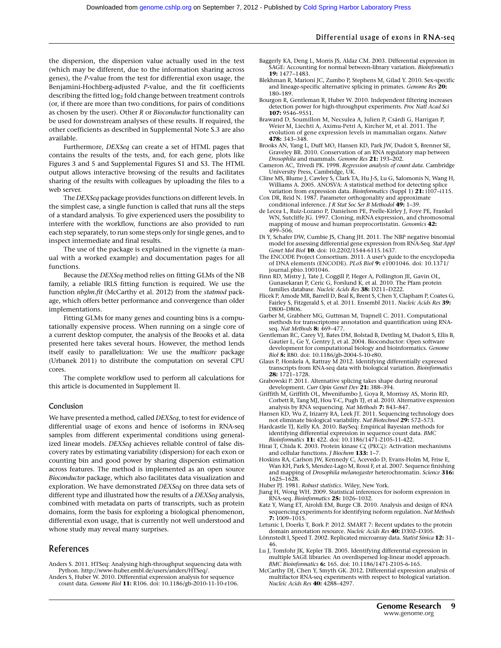#### Differential usage of exons in RNA-seq

the dispersion, the dispersion value actually used in the test (which may be different, due to the information sharing across genes), the P-value from the test for differential exon usage, the Benjamini-Hochberg-adjusted P-value, and the fit coefficients describing the fitted  $log_2$  fold change between treatment controls (or, if there are more than two conditions, for pairs of conditions as chosen by the user). Other R or Bioconductor functionality can be used for downstream analyses of these results. If required, the other coefficients as described in Supplemental Note S.3 are also available.

Furthermore, DEXSeq can create a set of HTML pages that contains the results of the tests, and, for each gene, plots like Figures 3 and 5 and Supplemental Figures S1 and S3. The HTML output allows interactive browsing of the results and facilitates sharing of the results with colleagues by uploading the files to a web server.

The DEXSeq package provides functions on different levels. In the simplest case, a single function is called that runs all the steps of a standard analysis. To give experienced users the possibility to interfere with the workflow, functions are also provided to run each step separately, to run some steps only for single genes, and to inspect intermediate and final results.

The use of the package is explained in the vignette (a manual with a worked example) and documentation pages for all functions.

Because the DEXSeq method relies on fitting GLMs of the NB family, a reliable IRLS fitting function is required. We use the function nbglm.fit (McCarthy et al. 2012) from the statmod package, which offers better performance and convergence than older implementations.

Fitting GLMs for many genes and counting bins is a computationally expensive process. When running on a single core of a current desktop computer, the analysis of the Brooks et al. data presented here takes several hours. However, the method lends itself easily to parallelization: We use the *multicore* package (Urbanek 2011) to distribute the computation on several CPU cores.

The complete workflow used to perform all calculations for this article is documented in Supplement II.

# Conclusion

We have presented a method, called DEXSeq, to test for evidence of differential usage of exons and hence of isoforms in RNA-seq samples from different experimental conditions using generalized linear models. DEXSeq achieves reliable control of false discovery rates by estimating variability (dispersion) for each exon or counting bin and good power by sharing dispersion estimation across features. The method is implemented as an open source Bioconductor package, which also facilitates data visualization and exploration. We have demonstrated DEXSeq on three data sets of different type and illustrated how the results of a DEXSeq analysis, combined with metadata on parts of transcripts, such as protein domains, form the basis for exploring a biological phenomenon, differential exon usage, that is currently not well understood and whose study may reveal many surprises.

# References

Anders S. 2011. HTSeq: Analysing high-throughput sequencing data with Python.<http://www-huber.embl.de/users/anders/HTSeq/>.

Anders S, Huber W. 2010. Differential expression analysis for sequence count data. Genome Biol 11: R106. doi: 10.1186/gb-2010-11-10-r106.

- Baggerly KA, Deng L, Morris JS, Aldaz CM. 2003. Differential expression in SAGE: Accounting for normal between-library variation. Bioinformatics 19: 1477–1483.
- Blekhman R, Marioni JC, Zumbo P, Stephens M, Gilad Y. 2010. Sex-specific and lineage-specific alternative splicing in primates. Genome Res 20: 180–189.
- Bourgon R, Gentleman R, Huber W. 2010. Independent filtering increases detection power for high-throughput experiments. Proc Natl Acad Sci 107: 9546–9551.
- Brawand D, Soumillon M, Necsulea A, Julien P, Csárdi G, Harrigan P, Weier M, Liechti A, Aximu-Petri A, Kircher M, et al. 2011. The evolution of gene expression levels in mammalian organs. Nature 478: 343–348.
- Brooks AN, Yang L, Duff MO, Hansen KD, Park JW, Dudoit S, Brenner SE, Graveley BR. 2010. Conservation of an RNA regulatory map between Drosophila and mammals. Genome Res 21: 193–202.
- Cameron AC, Trivedi PK. 1998. Regression analysis of count data. Cambridge University Press, Cambridge, UK.
- Cline MS, Blume J, Cawley S, Clark TA, Hu J-S, Lu G, Salomonis N, Wang H, Williams A. 2005. ANOSVA: A statistical method for detecting splice variation from expression data. Bioinformatics (Suppl 1) 21: i107-i115.
- Cox DR, Reid N. 1987. Parameter orthogonality and approximate conditional inference. J R Stat Soc Ser B Methodol 49: 1-39.
- de Lecea L, Ruiz-Lozano P, Danielson PE, Peelle-Kirley J, Foye PE, Frankel WN, Sutcliffe JG. 1997. Cloning, mRNA expression, and chromosomal mapping of mouse and human preprocortistatin. Genomics 42: 499–506.
- Di Y, Schafer DW, Cumbie JS, Chang JH. 2011. The NBP negative binomial model for assessing differential gene expression from RNA-Seq. Stat Appl Genet Mol Biol 10. doi: 10.2202/1544-6115.1637.
- The ENCODE Project Consortium. 2011. A user's guide to the encyclopedia of DNA elements (ENCODE). PLoS Biol 9: e1001046. doi: 10.1371/ journal.pbio.1001046.
- Finn RD, Mistry J, Tate J, Coggill P, Heger A, Pollington JE, Gavin OL, Gunasekaran P, Ceric G, Forslund K, et al. 2010. The Pfam protein families database. Nucleic Acids Res 38: D211–D222.
- Flicek P, Amode MR, Barrell D, Beal K, Brent S, Chen Y, Clapham P, Coates G, Fairley S, Fitzgerald S, et al. 2011. Ensembl 2011. Nucleic Acids Res 39: D800–D806.
- Garber M, Grabherr MG, Guttman M, Trapnell C. 2011. Computational methods for transcriptome annotation and quantification using RNAseq. Nat Methods 8: 469-477.
- Gentleman RC, Carey VJ, Bates DM, Bolstad B, Dettling M, Dudoit S, Ellis B, Gautier L, Ge Y, Gentry J, et al. 2004. Bioconductor: Open software development for computational biology and bioinformatics. Genome
- Biol 5: R80. doi: 10.1186/gb-2004-5-10-r80. Glaus P, Honkela A, Rattray M 2012. Identifying differentially expressed transcripts from RNA-seq data with biological variation. Bioinformatics 28: 1721–1728.
- Grabowski P. 2011. Alternative splicing takes shape during neuronal development. Curr Opin Genet Dev 21: 388-394.
- Griffith M, Griffith OL, Mwenifumbo J, Goya R, Morrissy AS, Morin RD, Corbett R, Tang MJ, Hou Y-C, Pugh TJ, et al. 2010. Alternative expression
- analysis by RNA sequencing. *Nat Methods* 7: 843–847.<br>Hansen KD, Wu Z, Irizarry RA, Leek JT. 2011. Sequencing technology does not eliminate biological variability. Nat Biotechnol 29: 572–573.
- Hardcastle TJ, Kelly KA. 2010. BaySeq: Empirical Bayesian methods for identifying differential expression in sequence count data. BMC Bioinformatics 11: 422. doi: 10.1186/1471-2105-11-422.
- Hirai T, Chida K. 2003. Protein kinase Cζ (PKCζ): Activation mechanisms and cellular functions. *J Biochem* 133: 1-7.
- Hoskins RA, Carlson JW, Kennedy C, Acevedo D, Evans-Holm M, Frise E, Wan KH, Park S, Mendez-Lago M, Rossi F, et al. 2007. Sequence finishing and mapping of Drosophila melanogaster heterochromatin. Science 316: 1625–1628.
- Huber PJ. 1981. Robust statistics. Wiley, New York.
- Jiang H, Wong WH. 2009. Statistical inferences for isoform expression in RNA-seq. Bioinformatics 25: 1026–1032.
- Katz Y, Wang ET, Airoldi EM, Burge CB. 2010. Analysis and design of RNA sequencing experiments for identifying isoform regulation. Nat Methods 7: 1009–1015.
- Letunic I, Doerks T, Bork P. 2012. SMART 7: Recent updates to the protein domain annotation resource. Nucleic Acids Res 40: D302-D305
- Lönnstedt I, Speed T. 2002. Replicated microarray data. Statist Sinica 12: 31-46.
- Lu J, Tomfohr JK, Kepler TB. 2005. Identifying differential expression in multiple SAGE libraries: An overdispersed log-linear model approach. BMC Bioinformatics 6: 165. doi: 10.1186/1471-2105-6-165.
- McCarthy DJ, Chen Y, Smyth GK. 2012. Differential expression analysis of multifactor RNA-seq experiments with respect to biological variation.<br>*Nucleic Acids Res* **40:** 4288–4297.